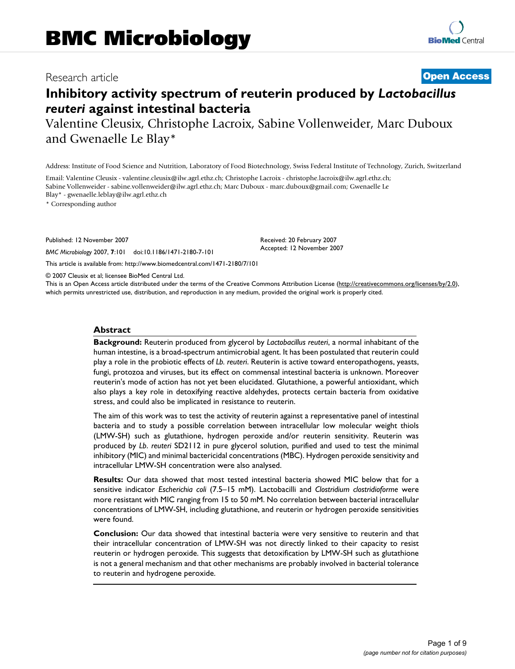# Research article **Open Access**

# **Inhibitory activity spectrum of reuterin produced by** *Lactobacillus reuteri* **against intestinal bacteria**

Valentine Cleusix, Christophe Lacroix, Sabine Vollenweider, Marc Duboux and Gwenaelle Le Blay\*

Address: Institute of Food Science and Nutrition, Laboratory of Food Biotechnology, Swiss Federal Institute of Technology, Zurich, Switzerland

Email: Valentine Cleusix - valentine.cleusix@ilw.agrl.ethz.ch; Christophe Lacroix - christophe.lacroix@ilw.agrl.ethz.ch; Sabine Vollenweider - sabine.vollenweider@ilw.agrl.ethz.ch; Marc Duboux - marc.duboux@gmail.com; Gwenaelle Le Blay\* - gwenaelle.leblay@ilw.agrl.ethz.ch

\* Corresponding author

Published: 12 November 2007

*BMC Microbiology* 2007, **7**:101 doi:10.1186/1471-2180-7-101

This article is available from: http://www.biomedcentral.com/1471-2180/7/101

© 2007 Cleusix et al; licensee BioMed Central Ltd.

This is an Open Access article distributed under the terms of the Creative Commons Attribution License (http://creativecommons.org/licenses/by/2.0), which permits unrestricted use, distribution, and reproduction in any medium, provided the original work is properly cited.

Received: 20 February 2007 Accepted: 12 November 2007

#### **Abstract**

**Background:** Reuterin produced from glycerol by *Lactobacillus reuteri*, a normal inhabitant of the human intestine, is a broad-spectrum antimicrobial agent. It has been postulated that reuterin could play a role in the probiotic effects of *Lb. reuteri*. Reuterin is active toward enteropathogens, yeasts, fungi, protozoa and viruses, but its effect on commensal intestinal bacteria is unknown. Moreover reuterin's mode of action has not yet been elucidated. Glutathione, a powerful antioxidant, which also plays a key role in detoxifying reactive aldehydes, protects certain bacteria from oxidative stress, and could also be implicated in resistance to reuterin.

The aim of this work was to test the activity of reuterin against a representative panel of intestinal bacteria and to study a possible correlation between intracellular low molecular weight thiols (LMW-SH) such as glutathione, hydrogen peroxide and/or reuterin sensitivity. Reuterin was produced by *Lb*. *reuteri* SD2112 in pure glycerol solution, purified and used to test the minimal inhibitory (MIC) and minimal bactericidal concentrations (MBC). Hydrogen peroxide sensitivity and intracellular LMW-SH concentration were also analysed.

**Results:** Our data showed that most tested intestinal bacteria showed MIC below that for a sensitive indicator *Escherichia coli* (7.5–15 mM). Lactobacilli and *Clostridium clostridioforme* were more resistant with MIC ranging from 15 to 50 mM. No correlation between bacterial intracellular concentrations of LMW-SH, including glutathione, and reuterin or hydrogen peroxide sensitivities were found.

**Conclusion:** Our data showed that intestinal bacteria were very sensitive to reuterin and that their intracellular concentration of LMW-SH was not directly linked to their capacity to resist reuterin or hydrogen peroxide. This suggests that detoxification by LMW-SH such as glutathione is not a general mechanism and that other mechanisms are probably involved in bacterial tolerance to reuterin and hydrogene peroxide.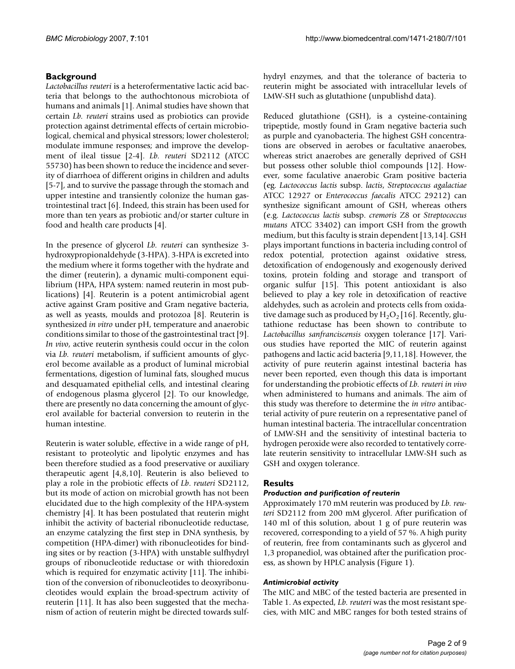# **Background**

*Lactobacillus reuteri* is a heterofermentative lactic acid bacteria that belongs to the authochtonous microbiota of humans and animals [1]. Animal studies have shown that certain *Lb. reuteri* strains used as probiotics can provide protection against detrimental effects of certain microbiological, chemical and physical stressors; lower cholesterol; modulate immune responses; and improve the development of ileal tissue [2-4]. *Lb. reuteri* SD2112 (ATCC 55730) has been shown to reduce the incidence and severity of diarrhoea of different origins in children and adults [5-7], and to survive the passage through the stomach and upper intestine and transiently colonize the human gastrointestinal tract [6]. Indeed, this strain has been used for more than ten years as probiotic and/or starter culture in food and health care products [4].

In the presence of glycerol *Lb. reuteri* can synthesize 3 hydroxypropionaldehyde (3-HPA). 3-HPA is excreted into the medium where it forms together with the hydrate and the dimer (reuterin), a dynamic multi-component equilibrium (HPA, HPA system: named reuterin in most publications) [4]. Reuterin is a potent antimicrobial agent active against Gram positive and Gram negative bacteria, as well as yeasts, moulds and protozoa [8]. Reuterin is synthesized *in vitro* under pH, temperature and anaerobic conditions similar to those of the gastrointestinal tract [9]. *In vivo*, active reuterin synthesis could occur in the colon via *Lb. reuteri* metabolism, if sufficient amounts of glycerol become available as a product of luminal microbial fermentations, digestion of luminal fats, sloughed mucus and desquamated epithelial cells, and intestinal clearing of endogenous plasma glycerol [2]. To our knowledge, there are presently no data concerning the amount of glycerol available for bacterial conversion to reuterin in the human intestine.

Reuterin is water soluble, effective in a wide range of pH, resistant to proteolytic and lipolytic enzymes and has been therefore studied as a food preservative or auxiliary therapeutic agent [4,8,10]. Reuterin is also believed to play a role in the probiotic effects of *Lb*. *reuteri* SD2112, but its mode of action on microbial growth has not been elucidated due to the high complexity of the HPA-system chemistry [4]. It has been postulated that reuterin might inhibit the activity of bacterial ribonucleotide reductase, an enzyme catalyzing the first step in DNA synthesis, by competition (HPA-dimer) with ribonucleotides for binding sites or by reaction (3-HPA) with unstable sulfhydryl groups of ribonucleotide reductase or with thioredoxin which is required for enzymatic activity [11]. The inhibition of the conversion of ribonucleotides to deoxyribonucleotides would explain the broad-spectrum activity of reuterin [11]. It has also been suggested that the mechanism of action of reuterin might be directed towards sulfhydryl enzymes, and that the tolerance of bacteria to reuterin might be associated with intracellular levels of LMW-SH such as glutathione (unpublishd data).

Reduced glutathione (GSH), is a cysteine-containing tripeptide, mostly found in Gram negative bacteria such as purple and cyanobacteria. The highest GSH concentrations are observed in aerobes or facultative anaerobes, whereas strict anaerobes are generally deprived of GSH but possess other soluble thiol compounds [12]. However, some faculative anaerobic Gram positive bacteria (eg. *Lactococcus lactis* subsp. *lactis*, *Streptococcus agalactiae* ATCC 12927 or *Enterococcus faecalis* ATCC 29212) can synthesize significant amount of GSH, whereas others (e.g. *Lactococcus lactis* subsp. *cremoris* Z8 or *Streptococcus mutans* ATCC 33402) can import GSH from the growth medium, but this faculty is strain dependent [13,14]. GSH plays important functions in bacteria including control of redox potential, protection against oxidative stress, detoxification of endogenously and exogenously derived toxins, protein folding and storage and transport of organic sulfur [15]. This potent antioxidant is also believed to play a key role in detoxification of reactive aldehydes, such as acrolein and protects cells from oxidative damage such as produced by  $H_2O_2$  [16]. Recently, glutathione reductase has been shown to contribute to *Lactobacillus sanfranciscensis* oxygen tolerance [17]. Various studies have reported the MIC of reuterin against pathogens and lactic acid bacteria [9,11,18]. However, the activity of pure reuterin against intestinal bacteria has never been reported, even though this data is important for understanding the probiotic effects of *Lb. reuteri in vivo* when administered to humans and animals. The aim of this study was therefore to determine the *in vitro* antibacterial activity of pure reuterin on a representative panel of human intestinal bacteria. The intracellular concentration of LMW-SH and the sensitivity of intestinal bacteria to hydrogen peroxide were also recorded to tentatively correlate reuterin sensitivity to intracellular LMW-SH such as GSH and oxygen tolerance.

## **Results**

## *Production and purification of reuterin*

Approximately 170 mM reuterin was produced by *Lb. reuteri* SD2112 from 200 mM glycerol. After purification of 140 ml of this solution, about 1 g of pure reuterin was recovered, corresponding to a yield of 57 %. A high purity of reuterin, free from contaminants such as glycerol and 1,3 propanediol, was obtained after the purification process, as shown by HPLC analysis (Figure 1).

## *Antimicrobial activity*

The MIC and MBC of the tested bacteria are presented in Table 1. As expected, *Lb. reuteri* was the most resistant species, with MIC and MBC ranges for both tested strains of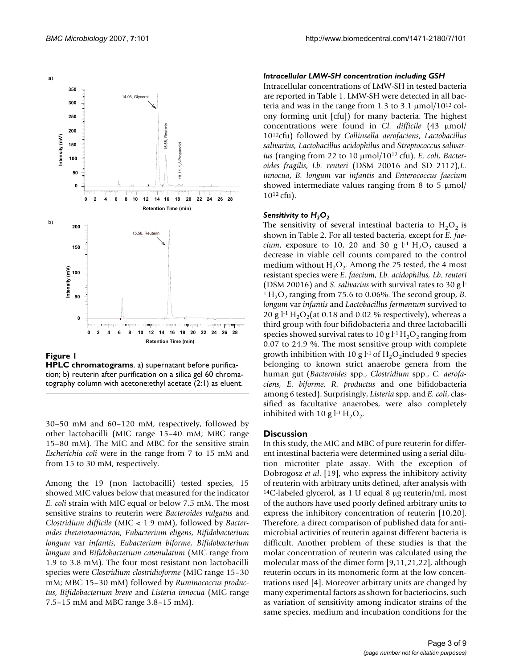

## **Figure 1**

**HPLC chromatograms**. a) supernatant before purification; b) reuterin after purification on a silica gel 60 chromatography column with acetone:ethyl acetate (2:1) as eluent.

30–50 mM and 60–120 mM, respectively, followed by other lactobacilli (MIC range 15–40 mM; MBC range 15–80 mM). The MIC and MBC for the sensitive strain *Escherichia coli* were in the range from 7 to 15 mM and from 15 to 30 mM, respectively.

Among the 19 (non lactobacilli) tested species, 15 showed MIC values below that measured for the indicator *E. coli* strain with MIC equal or below 7.5 mM. The most sensitive strains to reuterin were *Bacteroides vulgatus* and *Clostridium difficile* (MIC < 1.9 mM), followed by *Bacteroides thetaiotaomicron, Eubacterium eligens, Bifidobacterium longum* var *infantis, Eubacterium biforme, Bifidobacterium longum* and *Bifidobacterium catenulatum* (MIC range from 1.9 to 3.8 mM). The four most resistant non lactobacilli species were *Clostridium clostridioforme* (MIC range 15–30 mM; MBC 15–30 mM) followed by *Ruminococcus productus*, *Bifidobacterium breve* and *Listeria innocua* (MIC range 7.5–15 mM and MBC range 3.8–15 mM).

#### *Intracellular LMW-SH concentration including GSH*

Intracellular concentrations of LMW-SH in tested bacteria are reported in Table 1. LMW-SH were detected in all bacteria and was in the range from 1.3 to 3.1  $\mu$ mol/10<sup>12</sup> colony forming unit [cfu]) for many bacteria. The highest concentrations were found in *Cl. difficile* (43 µmol/ 1012cfu) followed by *Collinsella aerofaciens*, *Lactobacillus salivarius, Lactobacillus acidophilus* and *Streptococcus salivarius* (ranging from 22 to 10 µmol/10<sup>12</sup> cfu). *E. coli, Bacteroides fragilis*, *Lb. reuteri* (DSM 20016 and SD 2112),*L. innocua*, *B. longum* var *infantis* and *Enterococcus faecium* showed intermediate values ranging from 8 to 5  $\mu$ mol/ 1012 cfu).

#### Sensitivity to H<sub>2</sub>O<sub>2</sub>

The sensitivity of several intestinal bacteria to  $H_2O_2$  is shown in Table 2. For all tested bacteria, except for *E. faecium*, exposure to 10, 20 and 30 g  $l$ <sup>-1</sup> H<sub>2</sub>O<sub>2</sub> caused a decrease in viable cell counts compared to the control medium without  $H_2O_2$ . Among the 25 tested, the 4 most resistant species were *E. faecium, Lb. acidophilus, Lb. reuteri* (DSM 20016) and *S. salivarius* with survival rates to 30 g l- $1 H<sub>2</sub>O<sub>2</sub>$  ranging from 75.6 to 0.06%. The second group, *B*. *longum* var *infantis* and *Lactobacillus fermentum* survived to 20 g l<sup>-1</sup> H<sub>2</sub>O<sub>2</sub>(at 0.18 and 0.02 % respectively), whereas a third group with four bifidobacteria and three lactobacilli species showed survival rates to 10 g l<sup>-1</sup> H<sub>2</sub>O<sub>2</sub> ranging from 0.07 to 24.9 %. The most sensitive group with complete growth inhibition with 10 g  $l^{-1}$  of H<sub>2</sub>O<sub>2</sub> included 9 species belonging to known strict anaerobe genera from the human gut (*Bacteroides* spp., *Clostridium* spp., *C. aerofaciens, E. biforme, R. productus* and one bifidobacteria among 6 tested). Surprisingly, *Listeria* spp. and *E. coli*, classified as facultative anaerobes, were also completely inhibited with 10 g  $l<sup>-1</sup> H<sub>2</sub>O<sub>2</sub>$ .

#### **Discussion**

In this study, the MIC and MBC of pure reuterin for different intestinal bacteria were determined using a serial dilution microtiter plate assay. With the exception of Dobrogosz *et al*. [19], who express the inhibitory activity of reuterin with arbitrary units defined, after analysis with  $14C$ -labeled glycerol, as 1 U equal 8 µg reuterin/ml, most of the authors have used poorly defined arbitrary units to express the inhibitory concentration of reuterin [10,20]. Therefore, a direct comparison of published data for antimicrobial activities of reuterin against different bacteria is difficult. Another problem of these studies is that the molar concentration of reuterin was calculated using the molecular mass of the dimer form [9,11,21,22], although reuterin occurs in its monomeric form at the low concentrations used [4]. Moreover arbitrary units are changed by many experimental factors as shown for bacteriocins, such as variation of sensitivity among indicator strains of the same species, medium and incubation conditions for the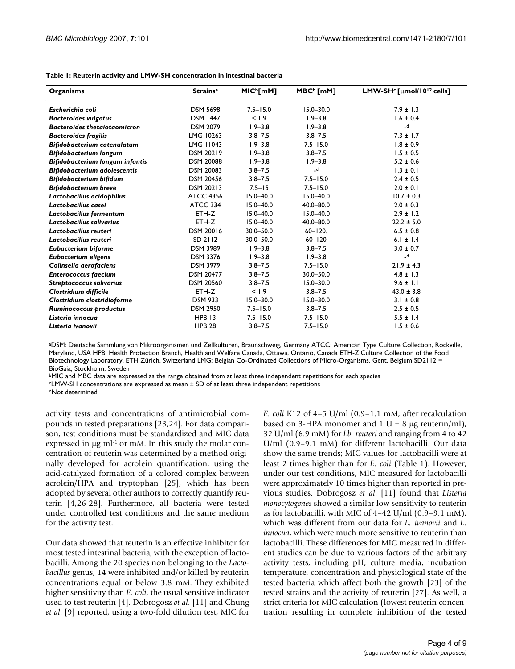| <b>Organisms</b>                    | <b>Strains<sup>a</sup></b> | MIC <sup>b</sup> [mM] | $MBCb$ [mM]            | LMW-SH <sup>c</sup> [µmol/10 <sup>12</sup> cells] |
|-------------------------------------|----------------------------|-----------------------|------------------------|---------------------------------------------------|
| Escherichia coli                    | <b>DSM 5698</b>            | $7.5 - 15.0$          | $15.0 - 30.0$          | $7.9 \pm 1.3$                                     |
| <b>Bacteroides vulgatus</b>         | <b>DSM 1447</b>            | < 1.9                 | $1.9 - 3.8$            | $1.6 \pm 0.4$                                     |
| <b>Bacteroides thetaiotaomicron</b> | <b>DSM 2079</b>            | $1.9 - 3.8$           | $1.9 - 3.8$            | $\mathsf{d}$                                      |
| <b>Bacteroides fragilis</b>         | LMG 10263                  | $3.8 - 7.5$           | $3.8 - 7.5$            | $7.3 \pm 1.7$                                     |
| Bifidobacterium catenulatum         | LMG 11043                  | $1.9 - 3.8$           | $7.5 - 15.0$           | $1.8 \pm 0.9$                                     |
| <b>Bifidobacterium longum</b>       | DSM 20219                  | $1.9 - 3.8$           | $3.8 - 7.5$            | $1.5 \pm 0.5$                                     |
| Bifidobacterium longum infantis     | <b>DSM 20088</b>           | $1.9 - 3.8$           | $1.9 - 3.8$            | $5.2 \pm 0.6$                                     |
| <b>Bifidobacterium adolescentis</b> | <b>DSM 20083</b>           | $3.8 - 7.5$           | $\mathsf{L}\mathsf{d}$ | $1.3 \pm 0.1$                                     |
| Bifidobacterium bifidum             | <b>DSM 20456</b>           | $3.8 - 7.5$           | $7.5 - 15.0$           | $2.4 \pm 0.5$                                     |
| <b>Bifidobacterium breve</b>        | DSM 20213                  | $7.5 - 15$            | $7.5 - 15.0$           | $2.0 \pm 0.1$                                     |
| Lactobacillus acidophilus           | <b>ATCC 4356</b>           | $15.0 - 40.0$         | $15.0 - 40.0$          | $10.7 \pm 0.3$                                    |
| Lactobacillus casei                 | ATCC 334                   | $15.0 - 40.0$         | 40.0-80.0              | $2.0 \pm 0.3$                                     |
| Lactobacillus fermentum             | ETH-Z                      | $15.0 - 40.0$         | $15.0 - 40.0$          | $2.9 \pm 1.2$                                     |
| Lactobacillus salivarius            | ETH-Z                      | $15.0 - 40.0$         | 40.0-80.0              | $22.2 \pm 5.0$                                    |
| Lactobacillus reuteri               | <b>DSM 20016</b>           | $30.0 - 50.0$         | $60 - 120$ .           | $6.5 \pm 0.8$                                     |
| Lactobacillus reuteri               | SD 2112                    | $30.0 - 50.0$         | $60 - 120$             | 6.1 ± $1.4$                                       |
| <b>Eubacterium biforme</b>          | <b>DSM 3989</b>            | $1.9 - 3.8$           | $3.8 - 7.5$            | $3.0 \pm 0.7$                                     |
| Eubacterium eligens                 | <b>DSM 3376</b>            | $1.9 - 3.8$           | $1.9 - 3.8$            | $-d$                                              |
| Colinsella aerofaciens              | <b>DSM 3979</b>            | $3.8 - 7.5$           | $7.5 - 15.0$           | $21.9 \pm 4.3$                                    |
| <b>Enterococcus faecium</b>         | <b>DSM 20477</b>           | $3.8 - 7.5$           | $30.0 - 50.0$          | $4.8 \pm 1.3$                                     |
| <b>Streptococcus salivarius</b>     | <b>DSM 20560</b>           | $3.8 - 7.5$           | $15.0 - 30.0$          | $9.6 \pm 1.1$                                     |
| Clostridium difficile               | ETH-Z                      | < 1.9                 | $3.8 - 7.5$            | $43.0 \pm 3.8$                                    |
| Clostridium clostridioforme         | <b>DSM 933</b>             | $15.0 - 30.0$         | $15.0 - 30.0$          | $3.1 \pm 0.8$                                     |
| Ruminococcus productus              | <b>DSM 2950</b>            | $7.5 - 15.0$          | $3.8 - 7.5$            | $2.5 \pm 0.5$                                     |
| Listeria innocua                    | <b>HPB 13</b>              | $7.5 - 15.0$          | $7.5 - 15.0$           | $5.5 \pm 1.4$                                     |
| Listeria ivanovii                   | <b>HPB 28</b>              | $3.8 - 7.5$           | $7.5 - 15.0$           | $1.5 \pm 0.6$                                     |

**Table 1: Reuterin activity and LMW-SH concentration in intestinal bacteria**

aDSM: Deutsche Sammlung von Mikroorganismen und Zellkulturen, Braunschweig, Germany ATCC: American Type Culture Collection, Rockville, Maryland, USA HPB: Health Protection Branch, Health and Welfare Canada, Ottawa, Ontario, Canada ETH-Z:Culture Collection of the Food Biotechnology Laboratory, ETH Zürich, Switzerland LMG: Belgian Co-Ordinated Collections of Micro-Organisms, Gent, Belgium SD2112 = BioGaia, Stockholm, Sweden

bMIC and MBC data are expressed as the range obtained from at least three independent repetitions for each species

cLMW-SH concentrations are expressed as mean ± SD of at least three independent repetitions

dNot determined

activity tests and concentrations of antimicrobial compounds in tested preparations [23,24]. For data comparison, test conditions must be standardized and MIC data expressed in  $\mu$ g ml<sup>-1</sup> or mM. In this study the molar concentration of reuterin was determined by a method originally developed for acrolein quantification, using the acid-catalyzed formation of a colored complex between acrolein/HPA and tryptophan [25], which has been adopted by several other authors to correctly quantify reuterin [4,26-28]. Furthermore, all bacteria were tested under controlled test conditions and the same medium for the activity test.

Our data showed that reuterin is an effective inhibitor for most tested intestinal bacteria, with the exception of lactobacilli. Among the 20 species non belonging to the *Lactobacillus* genus, 14 were inhibited and/or killed by reuterin concentrations equal or below 3.8 mM. They exhibited higher sensitivity than *E. coli*, the usual sensitive indicator used to test reuterin [4]. Dobrogosz *et al*. [11] and Chung *et al*. [9] reported, using a two-fold dilution test, MIC for *E. coli* K12 of 4–5 U/ml (0.9–1.1 mM, after recalculation based on 3-HPA monomer and  $1 U = 8 \mu$ g reuterin/ml), 32 U/ml (6.9 mM) for *Lb. reuteri* and ranging from 4 to 42 U/ml (0.9–9.1 mM) for different lactobacilli. Our data show the same trends; MIC values for lactobacilli were at least 2 times higher than for *E. coli* (Table 1). However, under our test conditions, MIC measured for lactobacilli were approximately 10 times higher than reported in previous studies. Dobrogosz *et al*. [11] found that *Listeria monocytogenes* showed a similar low sensitivity to reuterin as for lactobacilli, with MIC of 4–42 U/ml (0.9–9.1 mM), which was different from our data for *L. ivanovii* and *L. innocua*, which were much more sensitive to reuterin than lactobacilli. These differences for MIC measured in different studies can be due to various factors of the arbitrary activity tests, including pH, culture media, incubation temperature, concentration and physiological state of the tested bacteria which affect both the growth [23] of the tested strains and the activity of reuterin [27]. As well, a strict criteria for MIC calculation (lowest reuterin concentration resulting in complete inhibition of the tested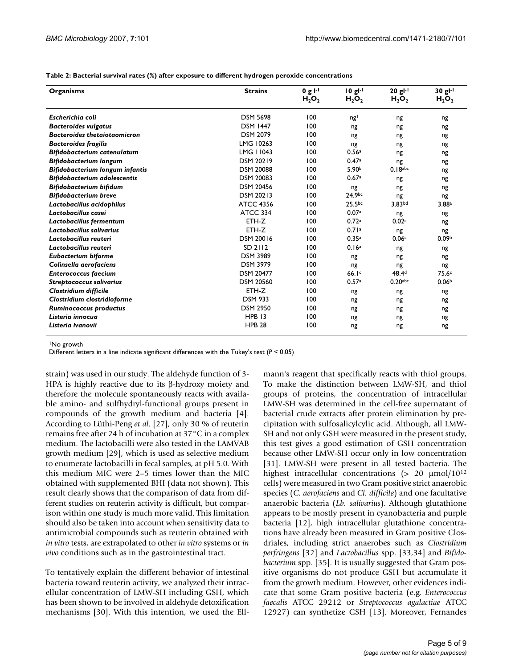| Organisms                           | <b>Strains</b>   | $0 g$  -<br>$H_2O_2$ | $10$ gl <sup>-1</sup><br>$H_2O_2$ | $20$ gl <sup>-1</sup><br>$H_2O_2$ | $30 g$ -<br>$H_2O_2$ |
|-------------------------------------|------------------|----------------------|-----------------------------------|-----------------------------------|----------------------|
| Escherichia coli                    | <b>DSM 5698</b>  | 100                  | ng <sup>1</sup>                   | ng                                | ng                   |
| <b>Bacteroides vulgatus</b>         | <b>DSM 1447</b>  | 100                  | ng                                | ng                                | ng                   |
| <b>Bacteroides thetaiotaomicron</b> | <b>DSM 2079</b>  | 100                  | ng                                | ng                                | ng                   |
| <b>Bacteroides fragilis</b>         | LMG 10263        | 100                  | ng                                | ng                                | ng                   |
| Bifidobacterium catenulatum         | LMG 11043        | 100                  | 0.56a                             | ng                                | ng                   |
| <b>Bifidobacterium longum</b>       | DSM 20219        | 100                  | 0.47a                             | ng                                | ng                   |
| Bifidobacterium longum infantis     | <b>DSM 20088</b> | 100                  | 5.90 <sup>b</sup>                 | $0.18$ <sub>abc</sub>             | ng                   |
| <b>Bifidobacterium adolescentis</b> | <b>DSM 20083</b> | 100                  | 0.67a                             | ng                                | ng                   |
| Bifidobacterium bifidum             | <b>DSM 20456</b> | 100                  | ng                                | ng                                | ng                   |
| <b>Bifidobacterium breve</b>        | DSM 20213        | 100                  | 24.9 <sub>bc</sub>                | ng                                | ng                   |
| Lactobacillus acidophilus           | <b>ATCC 4356</b> | 100                  | 25.5 <sub>bc</sub>                | 3.83bd                            | 3.88a                |
| Lactobacillus casei                 | ATCC 334         | 100                  | 0.07a                             | ng                                | ng                   |
| Lactobacillus fermentum             | ETH-Z            | 100                  | 0.72a                             | 0.02c                             | ng                   |
| Lactobacillus salivarius            | ETH-Z            | 100                  | 0.71a                             | ng                                | ng                   |
| Lactobacillus reuteri               | DSM 20016        | 100                  | 0.35a                             | 0.06c                             | 0.09 <sub>b</sub>    |
| Lactobacillus reuteri               | SD 2112          | 100                  | 0.16 <sup>a</sup>                 | ng                                | ng                   |
| <b>Eubacterium biforme</b>          | <b>DSM 3989</b>  | 100                  | ng                                | ng                                | ng                   |
| Colinsella aerofaciens              | <b>DSM 3979</b>  | 100                  | ng                                | ng                                | ng                   |
| <b>Enterococcus faecium</b>         | <b>DSM 20477</b> | 100                  | 66.1c                             | 48.4 <sup>d</sup>                 | 75.6 <sup>c</sup>    |
| <b>Streptococcus salivarius</b>     | <b>DSM 20560</b> | 100                  | 0.57a                             | $0.20$ abc                        | 0.06 <sup>b</sup>    |
| Clostridium difficile               | ETH-Z            | 100                  | ng                                | ng                                | ng                   |
| Clostridium clostridioforme         | <b>DSM 933</b>   | 100                  | ng                                | ng                                | ng                   |
| <b>Ruminococcus productus</b>       | <b>DSM 2950</b>  | 100                  | ng                                | ng                                | ng                   |
| Listeria innocua                    | <b>HPB 13</b>    | 100                  | ng                                | ng                                | ng                   |
| Listeria ivanovii                   | <b>HPB 28</b>    | 100                  | ng                                | ng                                | ng                   |

**Table 2: Bacterial survival rates (%) after exposure to different hydrogen peroxide concentrations**

1No growth

Different letters in a line indicate significant differences with the Tukey's test (*P* < 0.05)

strain) was used in our study. The aldehyde function of 3- HPA is highly reactive due to its  $\beta$ -hydroxy moiety and therefore the molecule spontaneously reacts with available amino- and sulfhydryl-functional groups present in compounds of the growth medium and bacteria [4]. According to Lüthi-Peng *et al*. [27], only 30 % of reuterin remains free after 24 h of incubation at 37°C in a complex medium. The lactobacilli were also tested in the LAMVAB growth medium [29], which is used as selective medium to enumerate lactobacilli in fecal samples, at pH 5.0. With this medium MIC were 2–5 times lower than the MIC obtained with supplemented BHI (data not shown). This result clearly shows that the comparison of data from different studies on reuterin activity is difficult, but comparison within one study is much more valid. This limitation should also be taken into account when sensitivity data to antimicrobial compounds such as reuterin obtained with *in vitro* tests, are extrapolated to other *in vitro* systems or *in vivo* conditions such as in the gastrointestinal tract.

To tentatively explain the different behavior of intestinal bacteria toward reuterin activity, we analyzed their intracellular concentration of LMW-SH including GSH, which has been shown to be involved in aldehyde detoxification mechanisms [30]. With this intention, we used the Ellmann's reagent that specifically reacts with thiol groups. To make the distinction between LMW-SH, and thiol groups of proteins, the concentration of intracellular LMW-SH was determined in the cell-free supernatant of bacterial crude extracts after protein elimination by precipitation with sulfosalicylcylic acid. Although, all LMW-SH and not only GSH were measured in the present study, this test gives a good estimation of GSH concentration because other LMW-SH occur only in low concentration [31]. LMW-SH were present in all tested bacteria. The highest intracellular concentrations ( $> 20 \, \mu \text{mol}/10^{12}$ cells) were measured in two Gram positive strict anaerobic species (*C. aerofaciens* and *Cl. difficile*) and one facultative anaerobic bacteria (*Lb. salivarius*). Although glutathione appears to be mostly present in cyanobacteria and purple bacteria [12], high intracellular glutathione concentrations have already been measured in Gram positive Closdriales, including strict anaerobes such as *Clostridium perfringens* [32] and *Lactobacillus* spp. [33,34] and *Bifidobacterium* spp. [35]. It is usually suggested that Gram positive organisms do not produce GSH but accumulate it from the growth medium. However, other evidences indicate that some Gram positive bacteria (e.g. *Enterococcus faecalis* ATCC 29212 or *Streptococcus agalactiae* ATCC 12927) can synthetize GSH [13]. Moreover, Fernandes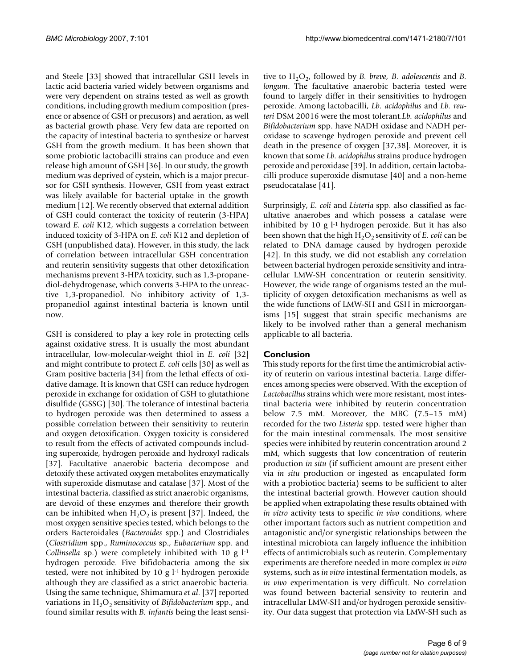and Steele [33] showed that intracellular GSH levels in lactic acid bacteria varied widely between organisms and were very dependent on strains tested as well as growth conditions, including growth medium composition (presence or absence of GSH or precusors) and aeration, as well as bacterial growth phase. Very few data are reported on the capacity of intestinal bacteria to synthesize or harvest GSH from the growth medium. It has been shown that some probiotic lactobacilli strains can produce and even release high amount of GSH [36]. In our study, the growth medium was deprived of cystein, which is a major precursor for GSH synthesis. However, GSH from yeast extract was likely available for bacterial uptake in the growth medium [12]. We recently observed that external addition of GSH could conteract the toxicity of reuterin (3-HPA) toward *E. coli* K12, which suggests a correlation between induced toxicity of 3-HPA on *E. coli* K12 and depletion of GSH (unpublished data). However, in this study, the lack of correlation between intracellular GSH concentration and reuterin sensitivity suggests that other detoxification mechanisms prevent 3-HPA toxicity, such as 1,3-propanediol-dehydrogenase, which converts 3-HPA to the unreactive 1,3-propanediol. No inhibitory activity of 1,3 propanediol against intestinal bacteria is known until now.

GSH is considered to play a key role in protecting cells against oxidative stress. It is usually the most abundant intracellular, low-molecular-weight thiol in *E. coli* [32] and might contribute to protect *E. coli* cells [30] as well as Gram positive bacteria [34] from the lethal effects of oxidative damage. It is known that GSH can reduce hydrogen peroxide in exchange for oxidation of GSH to glutathione disulfide (GSSG) [30]. The tolerance of intestinal bacteria to hydrogen peroxide was then determined to assess a possible correlation between their sensitivity to reuterin and oxygen detoxification. Oxygen toxicity is considered to result from the effects of activated compounds including superoxide, hydrogen peroxide and hydroxyl radicals [37]. Facultative anaerobic bacteria decompose and detoxify these activated oxygen metabolites enzymatically with superoxide dismutase and catalase [37]. Most of the intestinal bacteria, classified as strict anaerobic organisms, are devoid of these enzymes and therefore their growth can be inhibited when  $H_2O_2$  is present [37]. Indeed, the most oxygen sensitive species tested, which belongs to the orders Bacteroidales (*Bacteroides* spp.) and Clostridiales (*Clostridium* spp., *Ruminococcus* sp., *Eubacterium* spp. and *Collinsella* sp.) were completely inhibited with 10 g l-1 hydrogen peroxide. Five bifidobacteria among the six tested, were not inhibited by 10 g l-1 hydrogen peroxide although they are classified as a strict anaerobic bacteria. Using the same technique, Shimamura *et al*. [37] reported variations in H<sub>2</sub>O<sub>2</sub> sensitivity of *Bifidobacterium* spp., and found similar results with *B. infantis* being the least sensitive to  $H_2O_2$ , followed by *B. breve*, *B. adolescentis* and *B. longum*. The facultative anaerobic bacteria tested were found to largely differ in their sensitivities to hydrogen peroxide. Among lactobacilli, *Lb. acidophilus* and *Lb. reuteri* DSM 20016 were the most tolerant.*Lb. acidophilus* and *Bifidobacterium* spp. have NADH oxidase and NADH peroxidase to scavenge hydrogen peroxide and prevent cell death in the presence of oxygen [37,38]. Moreover, it is known that some *Lb. acidophilus* strains produce hydrogen peroxide and peroxidase [39]. In addition, certain lactobacilli produce superoxide dismutase [40] and a non-heme pseudocatalase [41].

Surprinsigly, *E. coli* and *Listeria* spp. also classified as facultative anaerobes and which possess a catalase were inhibited by 10 g  $l$ <sup>-1</sup> hydrogen peroxide. But it has also been shown that the high H<sub>2</sub>O<sub>2</sub> sensitivity of *E. coli* can be related to DNA damage caused by hydrogen peroxide [42]. In this study, we did not establish any correlation between bacterial hydrogen peroxide sensitivity and intracellular LMW-SH concentration or reuterin sensitivity. However, the wide range of organisms tested an the multiplicity of oxygen detoxification mechanisms as well as the wide functions of LMW-SH and GSH in microorganisms [15] suggest that strain specific mechanisms are likely to be involved rather than a general mechanism applicable to all bacteria.

## **Conclusion**

This study reports for the first time the antimicrobial activity of reuterin on various intestinal bacteria. Large differences among species were observed. With the exception of *Lactobacillus* strains which were more resistant, most intestinal bacteria were inhibited by reuterin concentration below 7.5 mM. Moreover, the MBC (7.5–15 mM) recorded for the two *Listeria* spp. tested were higher than for the main intestinal commensals. The most sensitive species were inhibited by reuterin concentration around 2 mM, which suggests that low concentration of reuterin production *in situ* (if sufficient amount are present either via *in situ* production or ingested as encapulated form with a probiotioc bacteria) seems to be sufficient to alter the intestinal bacterial growth. However caution should be applied when extrapolating these results obtained with *in vitro* activity tests to specific *in vivo* conditions, where other important factors such as nutrient competition and antagonistic and/or synergistic relationships between the intestinal microbiota can largely influence the inhibition effects of antimicrobials such as reuterin. Complementary experiments are therefore needed in more complex *in vitro* systems, such as *in vitro* intestinal fermentation models, as *in vivo* experimentation is very difficult. No correlation was found between bacterial sensivity to reuterin and intracellular LMW-SH and/or hydrogen peroxide sensitivity. Our data suggest that protection via LMW-SH such as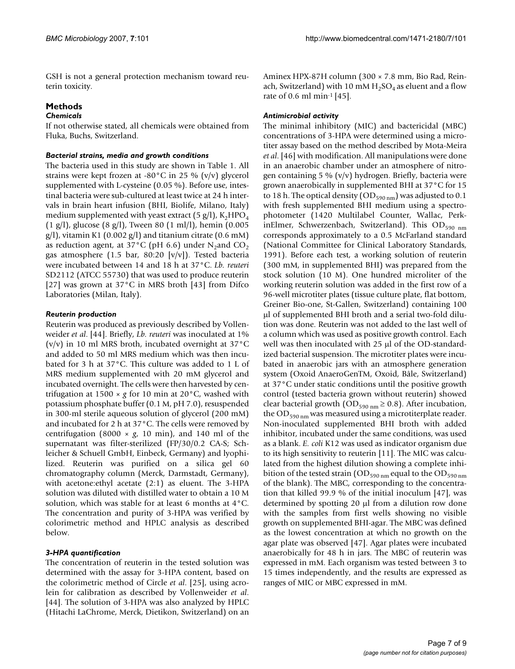GSH is not a general protection mechanism toward reuterin toxicity.

# **Methods**

# *Chemicals*

If not otherwise stated, all chemicals were obtained from Fluka, Buchs, Switzerland.

## *Bacterial strains, media and growth conditions*

The bacteria used in this study are shown in Table 1. All strains were kept frozen at -80°C in 25 % (v/v) glycerol supplemented with L-cysteine (0.05 %). Before use, intestinal bacteria were sub-cultured at least twice at 24 h intervals in brain heart infusion (BHI, Biolife, Milano, Italy) medium supplemented with yeast extract (5 g/l),  $K_2HPO_4$ (1 g/l), glucose (8 g/l), Tween 80 (1 ml/l), hemin (0.005  $g(1)$ , vitamin K1 (0.002  $g(1)$ ) and titanium citrate (0.6 mM) as reduction agent, at  $37^{\circ}$ C (pH 6.6) under N<sub>2</sub>and CO<sub>2</sub> gas atmosphere (1.5 bar, 80:20 [v/v]). Tested bacteria were incubated between 14 and 18 h at 37°C. *Lb. reuteri* SD2112 (ATCC 55730) that was used to produce reuterin [27] was grown at 37°C in MRS broth [43] from Difco Laboratories (Milan, Italy).

# *Reuterin production*

Reuterin was produced as previously described by Vollenweider *et al*. [44]. Briefly, *Lb. reuteri* was inoculated at 1% (v/v) in 10 ml MRS broth, incubated overnight at 37°C and added to 50 ml MRS medium which was then incubated for 3 h at 37°C. This culture was added to 1 L of MRS medium supplemented with 20 mM glycerol and incubated overnight. The cells were then harvested by centrifugation at  $1500 \times g$  for 10 min at  $20^{\circ}$ C, washed with potassium phosphate buffer (0.1 M, pH 7.0), resuspended in 300-ml sterile aqueous solution of glycerol (200 mM) and incubated for 2 h at 37°C. The cells were removed by centrifugation (8000  $\times$  *g*, 10 min), and 140 ml of the supernatant was filter-sterilized (FP/30/0.2 CA-S; Schleicher & Schuell GmbH, Einbeck, Germany) and lyophilized. Reuterin was purified on a silica gel 60 chromatography column (Merck, Darmstadt, Germany), with acetone:ethyl acetate (2:1) as eluent. The 3-HPA solution was diluted with distilled water to obtain a 10 M solution, which was stable for at least 6 months at 4°C. The concentration and purity of 3-HPA was verified by colorimetric method and HPLC analysis as described below.

# *3-HPA quantification*

The concentration of reuterin in the tested solution was determined with the assay for 3-HPA content, based on the colorimetric method of Circle *et al*. [25], using acrolein for calibration as described by Vollenweider *et al*. [44]. The solution of 3-HPA was also analyzed by HPLC (Hitachi LaChrome, Merck, Dietikon, Switzerland) on an

Aminex HPX-87H column (300 × 7.8 mm, Bio Rad, Reinach, Switzerland) with 10 mM  $H_2SO_4$  as eluent and a flow rate of 0.6 ml min-1 [45].

# *Antimicrobial activity*

The minimal inhibitory (MIC) and bactericidal (MBC) concentrations of 3-HPA were determined using a microtiter assay based on the method described by Mota-Meira *et al*. [46] with modification. All manipulations were done in an anaerobic chamber under an atmosphere of nitrogen containing 5 % (v/v) hydrogen. Briefly, bacteria were grown anaerobically in supplemented BHI at 37°C for 15 to 18 h. The optical density (OD<sub>590 nm</sub>) was adjusted to 0.1 with fresh supplemented BHI medium using a spectrophotometer (1420 Multilabel Counter, Wallac, PerkinElmer, Schwerzenbach, Switzerland). This  $OD_{590\ nm}$ corresponds approximately to a 0.5 McFarland standard (National Committee for Clinical Laboratory Standards, 1991). Before each test, a working solution of reuterin (300 mM, in supplemented BHI) was prepared from the stock solution (10 M). One hundred microliter of the working reuterin solution was added in the first row of a 96-well microtiter plates (tissue culture plate, flat bottom, Greiner Bio-one, St-Gallen, Switzerland) containing 100  $\mu$ l of supplemented BHI broth and a serial two-fold dilution was done. Reuterin was not added to the last well of a column which was used as positive growth control. Each well was then inoculated with  $25 \mu$ l of the OD-standardized bacterial suspension. The microtiter plates were incubated in anaerobic jars with an atmosphere generation system (Oxoid AnaeroGenTM, Oxoid, Bâle, Switzerland) at 37°C under static conditions until the positive growth control (tested bacteria grown without reuterin) showed clear bacterial growth (OD<sub>590 nm</sub>  $\geq$  0.8). After incubation, the  $OD_{590 \text{ nm}}$  was measured using a microtiterplate reader. Non-inoculated supplemented BHI broth with added inhibitor, incubated under the same conditions, was used as a blank. *E. coli* K12 was used as indicator organism due to its high sensitivity to reuterin [11]. The MIC was calculated from the highest dilution showing a complete inhibition of the tested strain (OD<sub>590 nm</sub> equal to the OD<sub>590 nm</sub> of the blank). The MBC, corresponding to the concentration that killed 99.9 % of the initial inoculum [47], was determined by spotting 20 µl from a dilution row done with the samples from first wells showing no visible growth on supplemented BHI-agar. The MBC was defined as the lowest concentration at which no growth on the agar plate was observed [47]. Agar plates were incubated anaerobically for 48 h in jars. The MBC of reuterin was expressed in mM. Each organism was tested between 3 to 15 times independently, and the results are expressed as ranges of MIC or MBC expressed in mM.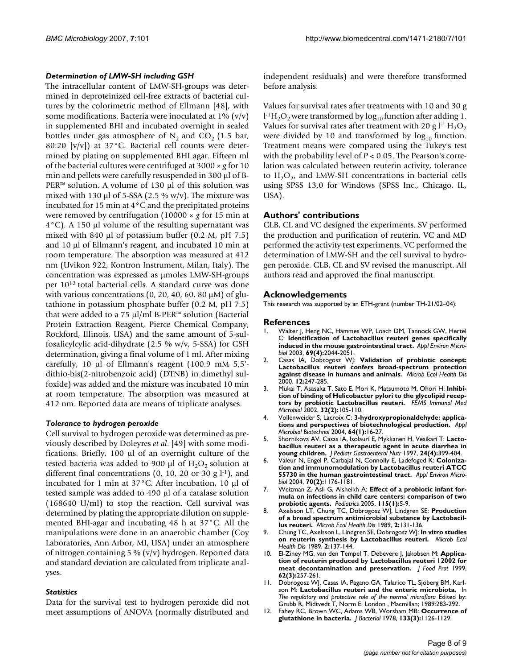#### *Determination of LMW-SH including GSH*

The intracellular content of LMW-SH-groups was determined in deproteinized cell-free extracts of bacterial cultures by the colorimetric method of Ellmann [48], with some modifications. Bacteria were inoculated at  $1\%$  (v/v) in supplemented BHI and incubated overnight in sealed bottles under gas atmosphere of  $N_2$  and  $CO_2$  (1.5 bar, 80:20 [v/v]) at 37°C. Bacterial cell counts were determined by plating on supplemented BHI agar. Fifteen ml of the bacterial cultures were centrifuged at 3000 × *g* for 10 min and pellets were carefully resuspended in 300  $\mu$ l of B-PER™ solution. A volume of 130  $\mu$ l of this solution was mixed with 130  $\mu$ l of 5-SSA (2.5 % w/v). The mixture was incubated for 15 min at 4°C and the precipitated proteins were removed by centrifugation (10000 × *g* for 15 min at  $4^{\circ}$ C). A 150 µl volume of the resulting supernatant was mixed with 840  $\mu$ l of potassium buffer (0.2 M, pH 7.5) and  $10 \mu$ l of Ellmann's reagent, and incubated  $10 \text{ min}$  at room temperature. The absorption was measured at 412 nm (Uvikon 922, Kontron Instrument, Milan, Italy). The concentration was expressed as µmoles LMW-SH-groups per 1012 total bacterial cells. A standard curve was done with various concentrations  $(0, 20, 40, 60, 80 \mu M)$  of glutathione in potassium phosphate buffer (0.2 M, pH 7.5) that were added to a 75  $\mu$ l/ml B-PER<sup>™</sup> solution (Bacterial Protein Extraction Reagent, Pierce Chemical Company, Rockford, Illinois, USA) and the same amount of 5-sulfosalicylcylic acid-dihydrate (2.5 % w/v, 5-SSA) for GSH determination, giving a final volume of 1 ml. After mixing carefully, 10  $\mu$ l of Ellmann's reagent (100.9 mM 5,5'dithio-bis(2-nitrobenzoic acid) (DTNB) in dimethyl sulfoxide) was added and the mixture was incubated 10 min at room temperature. The absorption was measured at 412 nm. Reported data are means of triplicate analyses.

#### *Tolerance to hydrogen peroxide*

Cell survival to hydrogen peroxide was determined as previously described by Doleyres *et al*. [49] with some modifications. Briefly,  $100 \mu l$  of an overnight culture of the tested bacteria was added to 900  $\mu$ l of H<sub>2</sub>O<sub>2</sub> solution at different final concentrations (0, 10, 20 or 30 g  $l<sup>-1</sup>$ ), and incubated for 1 min at  $37^{\circ}$ C. After incubation, 10  $\mu$ l of tested sample was added to 490  $\mu$ l of a catalase solution (168640 U/ml) to stop the reaction. Cell survival was determined by plating the appropriate dilution on supplemented BHI-agar and incubating 48 h at 37°C. All the manipulations were done in an anaerobic chamber (Coy Laboratories, Ann Arbor, MI, USA) under an atmosphere of nitrogen containing 5 % (v/v) hydrogen. Reported data and standard deviation are calculated from triplicate analyses.

#### *Statistics*

Data for the survival test to hydrogen peroxide did not meet assumptions of ANOVA (normally distributed and

independent residuals) and were therefore transformed before analysis.

Values for survival rates after treatments with 10 and 30 g  $l^1H_2O_2$  were transformed by  $log_{10}$  function after adding 1. Values for survival rates after treatment with 20 g  $l<sup>-1</sup>$  H<sub>2</sub>O<sub>2</sub> were divided by 10 and transformed by  $log_{10}$  function. Treatment means were compared using the Tukey's test with the probability level of *P* < 0.05. The Pearson's correlation was calculated between reuterin activity, tolerance to  $H_2O_2$ , and LMW-SH concentrations in bacterial cells using SPSS 13.0 for Windows (SPSS Inc., Chicago, IL, USA).

#### **Authors' contributions**

GLB, CL and VC designed the experiments. SV performed the production and purification of reuterin. VC and MD performed the activity test experiments. VC performed the determination of LMW-SH and the cell survival to hydrogen peroxide. GLB, CL and SV revised the manuscript. All authors read and approved the final manuscript.

#### **Acknowledgements**

This research was supported by an ETH-grant (number TH-21/02–04).

#### **References**

- 1. Walter J, Heng NC, Hammes WP, Loach DM, Tannock GW, Hertel C: **Identification of Lactobacillus reuteri genes specifically induced in the mouse gastrointestinal tract.** *Appl Environ Microbiol* 2003, **69(4):**2044-2051.
- 2. Casas IA, Dobrogosz WJ: **Validation of probiotic concept: Lactobacillus reuteri confers broad-spectrum protection against disease in humans and animals.** *Microb Ecol Health Dis* 2000, **12:**247-285.
- 3. Mukai T, Asasaka T, Sato E, Mori K, Matsumoto M, Ohori H: **Inhibition of binding of Helicobacter pylori to the glycolipid receptors by probiotic Lactobacillus reuteri.** *FEMS Immunol Med Microbiol* 2002, **32(2):**105-110.
- 4. Vollenweider S, Lacroix C: **3-hydroxypropionaldehyde: applications and perspectives of biotechnological production.** *Appl Microbiol Biotechnol* 2004, **64(1):**16-27.
- 5. Shornikova AV, Casas IA, Isolauri E, Mykkanen H, Vesikari T: **Lactobacillus reuteri as a therapeutic agent in acute diarrhea in young children.** *J Pediatr Gastroenterol Nutr* 1997, **24(4):**399-404.
- 6. Valeur N, Engel P, Carbajal N, Connolly E, Ladefoged K: **Colonization and immunomodulation by Lactobacillus reuteri ATCC 55730 in the human gastrointestinal tract.** *Appl Environ Microbiol* 2004, **70(2):**1176-1181.
- 7. Weizman Z, Asli G, Alsheikh A: **Effect of a probiotic infant formula on infections in child care centers: comparison of two probiotic agents.** *Pediatrics* 2005, **115(1):**5-9.
- 8. Axelsson LT, Chung TC, Dobrogosz WJ, Lindgren SE: **Production of a broad spectrum antimicrobial substance by Lactobacillus reuteri.** *Microb Ecol Health Dis* 1989, **2:**131-136.
- 9. Chung TC, Axelsson L, Lindgren SE, Dobrogosz WJ: **In vitro studies on reuterin synthesis by Lactobacillus reuteri.** *Microb Ecol Health Dis* 1989, **2:**137-144.
- 10. El-Ziney MG, van den Tempel T, Debevere J, Jakobsen M: **Application of reuterin produced by Lactobacillus reuteri 12002 for meat decontamination and preservation.** *J Food Prot* 1999, **62(3):**257-261.
- 11. Dobrogosz WJ, Casas IA, Pagano GA, Talarico TL, Sjöberg BM, Karlson M: **Lactobacillus reuteri and the enteric microbiota.** In *The regulatory and protective role of the normal microflora* Edited by: Grubb R, Midtvedt T, Norm E. London , Macmillan; 1989:283-292.
- 12. Fahey RC, Brown WC, Adams WB, Worsham MB: **Occurrence of glutathione in bacteria.** *J Bacteriol* 1978, **133(3):**1126-1129.